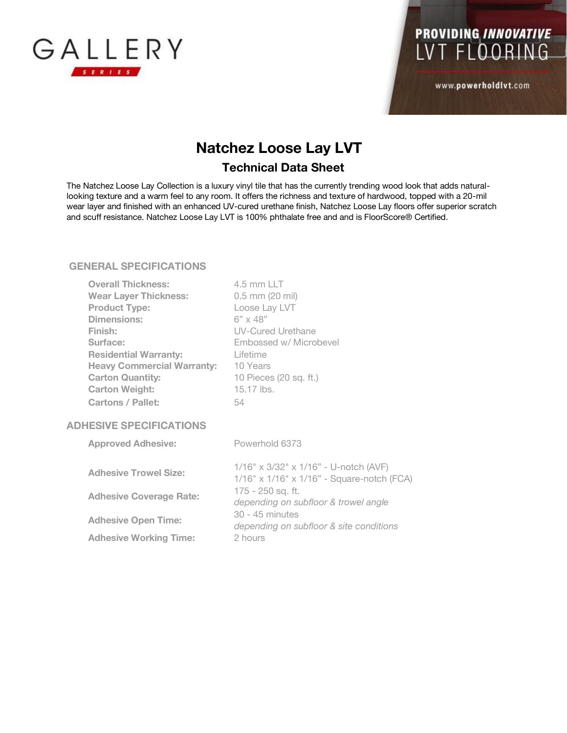



www.powerholdlvt.com

## **Natchez Loose Lay LVT Technical Data Sheet**

The Natchez Loose Lay Collection is a luxury vinyl tile that has the currently trending wood look that adds naturallooking texture and a warm feel to any room. It offers the richness and texture of hardwood, topped with a 20-mil wear layer and finished with an enhanced UV-cured urethane finish, Natchez Loose Lay floors offer superior scratch and scuff resistance. Natchez Loose Lay LVT is 100% phthalate free and and is FloorScore® Certified.

## **GENERAL SPECIFICATIONS**

| <b>Overall Thickness:</b>         | 4.5 mm LLT               |
|-----------------------------------|--------------------------|
| <b>Wear Layer Thickness:</b>      | $0.5$ mm $(20$ mil)      |
| <b>Product Type:</b>              | Loose Lay LVT            |
| Dimensions:                       | $6" \times 48"$          |
| Finish:                           | <b>UV-Cured Urethane</b> |
| Surface:                          | Embossed w/ Microbevel   |
| <b>Residential Warranty:</b>      | Lifetime                 |
| <b>Heavy Commercial Warranty:</b> | 10 Years                 |
| <b>Carton Quantity:</b>           | 10 Pieces (20 sq. ft.)   |
| <b>Carton Weight:</b>             | 15.17 lbs.               |
| <b>Cartons / Pallet:</b>          | 54                       |
| <b>ADHESIVE SPECIFICATIONS</b>    |                          |

| <b>Approved Adhesive:</b>      | Powerhold 6373                                                                                                                                                                                                              |
|--------------------------------|-----------------------------------------------------------------------------------------------------------------------------------------------------------------------------------------------------------------------------|
| <b>Adhesive Trowel Size:</b>   | 1/16" x 3/32" x 1/16" - U-notch (AVF)<br>1/16" x 1/16" x 1/16" - Square-notch (FCA)<br>$175 - 250$ sq. ft.<br>depending on subfloor & trowel angle<br>30 - 45 minutes<br>depending on subfloor & site conditions<br>2 hours |
| <b>Adhesive Coverage Rate:</b> |                                                                                                                                                                                                                             |
| <b>Adhesive Open Time:</b>     |                                                                                                                                                                                                                             |
| <b>Adhesive Working Time:</b>  |                                                                                                                                                                                                                             |